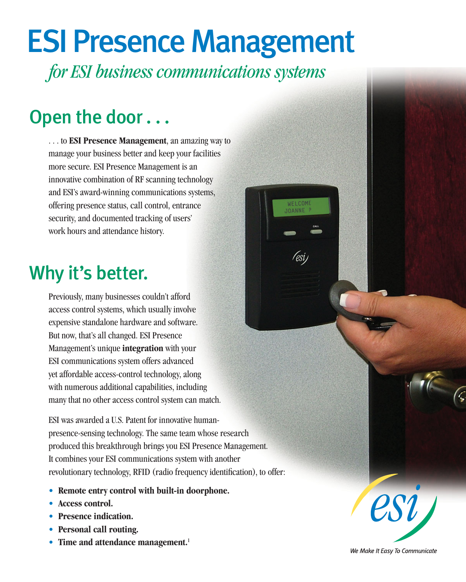# ESI Presence Management

*for ESI business communications systems ommunications* 

WELCOM **IOANNE** 

## Open the door ...

. . . to **ESI Presence Management**, an amazing way to manage your business better and keep your facilities more secure. ESI Presence Management is an innovative combination of RF scanning technology and ESI's award-winning communications systems, offering presence status, call control, entrance security, and documented tracking of users' work hours and attendance history.

### Why it's better.

Previously, many businesses couldn't afford access control systems, which usually involve expensive standalone hardware and software. But now, that's all changed. ESI Presence Management's unique **integration** with your ESI communications system offers advanced yet affordable access-control technology, along with numerous additional capabilities, including many that no other access control system can match.

ESI was awarded a U.S. Patent for innovative humanpresence-sensing technology. The same team whose research produced this breakthrough brings you ESI Presence Management. It combines your ESI communications system with another revolutionary technology, RFID (radio frequency identification), to offer:

- **Remote entry control with built-in doorphone.**
- **Access control.**
- **Presence indication.**
- **Personal call routing.**
- Time and attendance management.<sup>1</sup>



We Make It Easy To Communicate